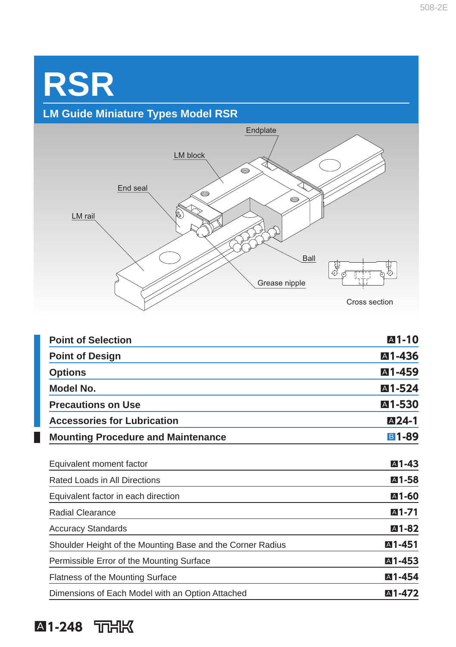# **RSR**

 **LM Guide Miniature Types Model RSR** 



| A1-10              |
|--------------------|
| ⊠1-436             |
| ⊠1-459             |
| ⊠1-524             |
| ■1-530             |
| A <sub>24</sub> -1 |
| <b>B1-89</b>       |
| A1-43              |
| A1-58              |
| <b>A1-60</b>       |
| A1-71              |
| A1-82              |
| A1-451             |
| <b>A1-453</b>      |
| ⊠1-454             |
| ⊠1-472             |
|                    |

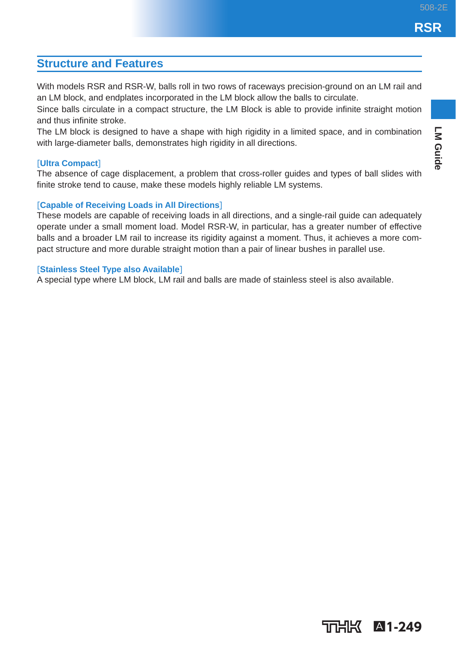**LM Guide**

**LM Guide** 

# **Structure and Features**

 With models RSR and RSR-W, balls roll in two rows of raceways precision-ground on an LM rail and an LM block, and endplates incorporated in the LM block allow the balls to circulate.

Since balls circulate in a compact structure, the LM Block is able to provide infinite straight motion and thus infinite stroke.

The LM block is designed to have a shape with high rigidity in a limited space, and in combination with large-diameter balls, demonstrates high rigidity in all directions.

### [**Ultra Compact**]

The absence of cage displacement, a problem that cross-roller guides and types of ball slides with finite stroke tend to cause, make these models highly reliable LM systems.

### [**Capable of Receiving Loads in All Directions**]

These models are capable of receiving loads in all directions, and a single-rail guide can adequately operate under a small moment load. Model RSR-W, in particular, has a greater number of effective balls and a broader LM rail to increase its rigidity against a moment. Thus, it achieves a more compact structure and more durable straight motion than a pair of linear bushes in parallel use.

### [**Stainless Steel Type also Available**]

A special type where LM block, LM rail and balls are made of stainless steel is also available.

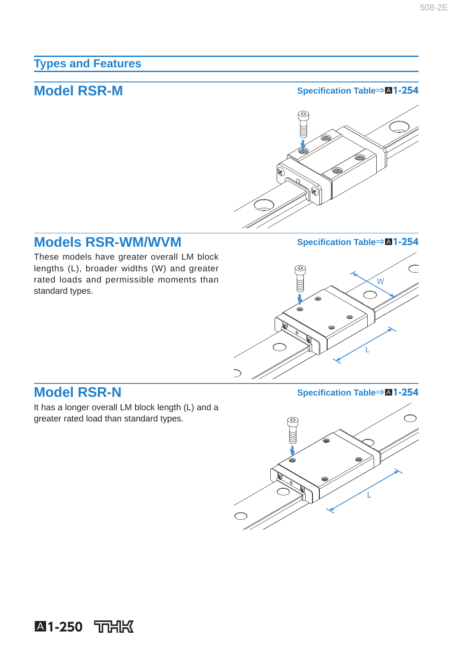## **Types and Features**

### **Model RSR-M Specifi [cation Table](#page-6-0)**⇒A**1-254**



# **Models RSR-WM/WVM** Specification Table⇒M1-254

These models have greater overall LM block lengths (L), broader widths (W) and greater rated loads and permissible moments than standard types.



# **Model RSR-N Specifi [cation Table](#page-6-0)**⇒A**1-254**

It has a longer overall LM block length (L) and a greater rated load than standard types.

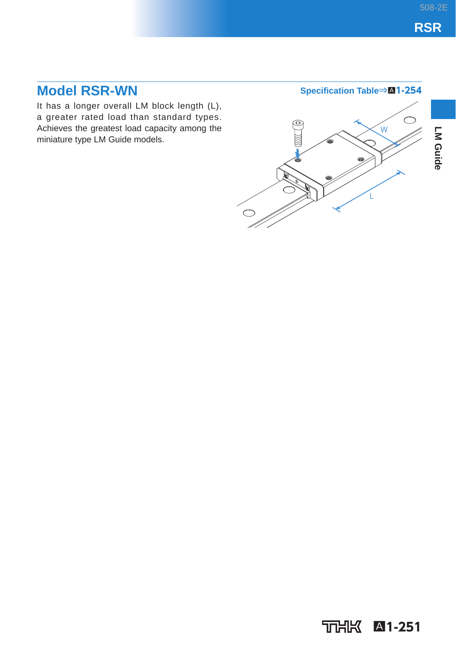It has a longer overall LM block length (L), a greater rated load than standard types. Achieves the greatest load capacity among the miniature type LM Guide models.



**LM Guide LM Guide**

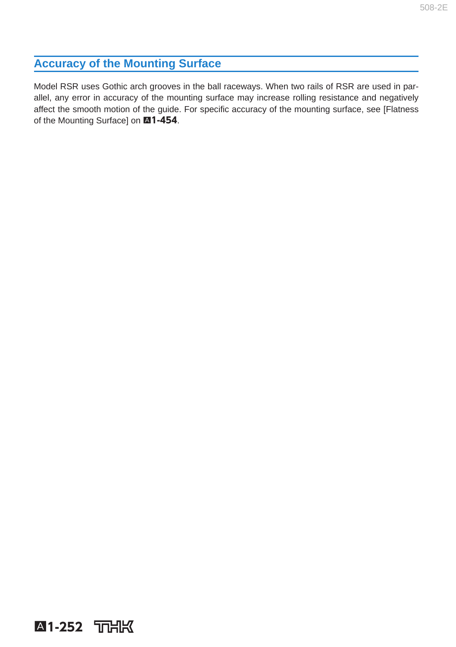# **Accuracy of the Mounting Surface**

Model RSR uses Gothic arch grooves in the ball raceways. When two rails of RSR are used in parallel, any error in accuracy of the mounting surface may increase rolling resistance and negatively affect the smooth motion of the guide. For specific accuracy of the mounting surface, see [Flatness of the Mounting Surface] on  $\blacksquare$ 1-454.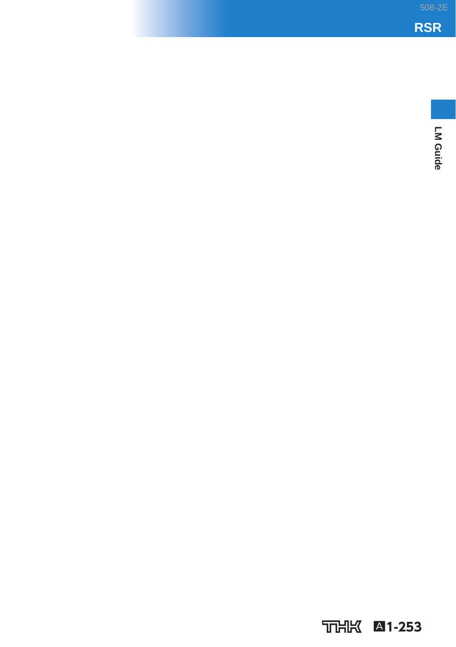LM Guide **LM Guide**

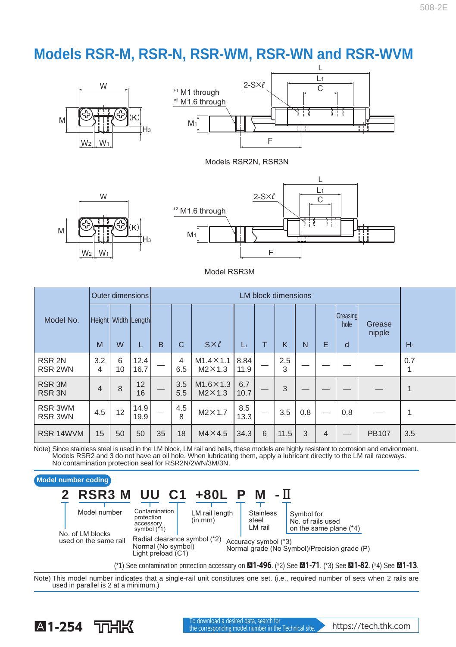# <span id="page-6-0"></span> **Models RSR-M, RSR-N, RSR-WM, RSR-WN and RSR-WVM**





Models RSR2N, RSR3N





Model RSR3M

|                                         |                |         | Outer dimensions    |    |              |                                      |              |   | <b>LM block dimensions</b> |     |                |                       |                  |                |
|-----------------------------------------|----------------|---------|---------------------|----|--------------|--------------------------------------|--------------|---|----------------------------|-----|----------------|-----------------------|------------------|----------------|
| Model No.                               | M              | W       | Height Width Length | B  | $\mathsf{C}$ | $S \times \ell$                      | $L_1$        | т | K                          | N   | E              | Greasing<br>hole<br>d | Grease<br>nipple | H <sub>3</sub> |
| RSR <sub>2N</sub><br>RSR <sub>2WN</sub> | 3.2<br>4       | 6<br>10 | 12.4<br>16.7        |    | 4<br>6.5     | $M1.4 \times 1.1$<br>$M2 \times 1.3$ | 8.84<br>11.9 |   | 2.5<br>3                   |     |                |                       |                  | 0.7<br>1       |
| RSR <sub>3M</sub><br><b>RSR 3N</b>      | $\overline{4}$ | 8       | 12<br>16            |    | 3.5<br>5.5   | $M1.6 \times 1.3$<br>$M2 \times 1.3$ | 6.7<br>10.7  |   | 3                          |     |                |                       |                  | 1              |
| RSR 3WM<br>RSR 3WN                      | 4.5            | 12      | 14.9<br>19.9        |    | 4.5<br>8     | $M2 \times 1.7$                      | 8.5<br>13.3  |   | 3.5                        | 0.8 |                | 0.8                   |                  | 1              |
| RSR 14WVM                               | 15             | 50      | 50                  | 35 | 18           | $M4 \times 4.5$                      | 34.3         | 6 | 11.5                       | 3   | $\overline{4}$ |                       | <b>PB107</b>     | 3.5            |

Note) Since stainless steel is used in the LM block, LM rail and balls, these models are highly resistant to corrosion and environment. Models RSR2 and 3 do not have an oil hole. When lubricating them, apply a lubricant directly to the LM rail raceways. No contamination protection seal for RSR2N/2WN/3M/3N.

#### **Model number coding** LM rail length (in mm) Contamination protection accessory symbol (\*1) Radial clearance symbol (\*2) Normal (No symbol) Light preload (C1) Model number No. of LM blocks used on the same rail Symbol for No. of rails used on the same plane (\*4) **Stainless** steel LM rail Accuracy symbol (\*3) Normal grade (No Symbol)/Precision grade (P) **2 RSR3 M UU C1 +80L P M -**Ⅱ (\*1) See contamination protection accessory on A**1-496** . (\*2) See A**1-71** . (\*3) See A**1-82** . (\*4) See A**1-13** .

Note) This model number indicates that a single-rail unit constitutes one set. (i.e., required number of sets when 2 rails are used in parallel is 2 at a minimum.)

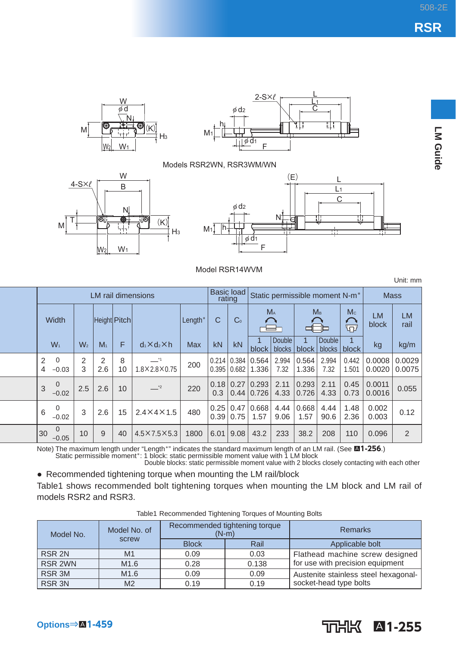**LM Guide**

**LM Guide** 

Unit: mm





#### Models RSR2WN, RSR3WM/WN





#### Model RSR14WVM

LM rail dimensions **Basic load**<br>rating Static permissible moment N-m<sup>\*</sup> Mass  $M_A$   $M_B$   $M_C$   $LM$  LM Width  $H = \text{Height}$  Pitch Length  $\text{Length}^*$  C  $\text{C}_0$ block rail 四 ┱ **Double Double**  1 1  $W_1$   $W_2$   $M_1$   $F$   $d_1 \times d_2 \times h$   $M_2$   $kN$   $kN$   $d_1$  $\begin{array}{c|c} \n\hline\n\text{block} & \text{kg} \\
\end{array}$  kg/m blocks block blocks block 2  $\Omega$  2  $\overline{2}$  8 0.384 0.564 2.994 0.564 2.994 0.442 0.0008 0.0029  $\begin{array}{c|c|c|c}\n -4 & 200 & 0.214 \\
 \hline\n 1.8 \times 2.8 \times 0.75 & 200 & 0.395\n \end{array}$  4 3 2.6 10 0.395 0.682 1.336 7.32 1.336 7.32 1.501 0.0020 0.0075  $-0.03$  $3\quad 0 \\ -0.02$  0.27 0.293 2.11 0.293 2.11 0.45 0.0011  $\begin{array}{|c|c|c|c|c|c|c|c|} \hline 0 & 2.5 & 2.6 & 10 & -2 & 220 & 0.18 \ \hline -0.02 & 0.3 & & & \end{array}$  $0.0011$  0.055 0.3 0.44 0.726 4.33 0.726 4.33 0.73  $6\begin{array}{c} 0 \\ -0.02 \end{array}$  $3 \times 2.6 \times 15 \times 2.4 \times 4 \times 1.5 \times 10^{0.25}$  $0.47$  0.668 4.44 0.668 4.44 1.48 0.002  $0.002$  0.12 9.06 1.57 0.39  $0.75$  1.57 90.6 2.36  $30\begin{array}{c} 0 \\ -0.05 \end{array}$ 

Note) The maximum length under "Length"" indicates the standard maximum length of an LM rail. (See **⊠[1-256](#page-8-0)**.)<br>Static permissible moment\*: 1 block: static permissible moment\*: 1 to bock: static permissible in 1 LM blocks<br>D

• Recommended tightening torque when mounting the LM rail/block

[Table1](#page-7-0) shows recommended bolt tightening torques when mounting the LM block and LM rail of models RSR2 and RSR3.

‒0.05 10 9 40 4.5×7.5×5.3 1800 6.01 9.08 43.2 233 38.2 208 110 0.096 2

| Model No.         | Model No. of     | Recommended tightening torque<br>$(N-m)$ |       | <b>Remarks</b>                       |
|-------------------|------------------|------------------------------------------|-------|--------------------------------------|
|                   | screw            | <b>Block</b>                             | Rail  | Applicable bolt                      |
| RSR <sub>2N</sub> | M1               | 0.09                                     | 0.03  | Flathead machine screw designed      |
| <b>RSR 2WN</b>    | M <sub>1.6</sub> | 0.28                                     | 0.138 | for use with precision equipment     |
| RSR <sub>3M</sub> | M <sub>1.6</sub> | 0.09                                     | 0.09  | Austenite stainless steel hexagonal- |
| RSR 3N            | M <sub>2</sub>   | 0.19                                     | 0.19  | socket-head type bolts               |

| Table1 Recommended Tightening Torques of Mounting Bolts |  |  |
|---------------------------------------------------------|--|--|
|                                                         |  |  |

**Options**⇒A**1-459**

<span id="page-7-0"></span>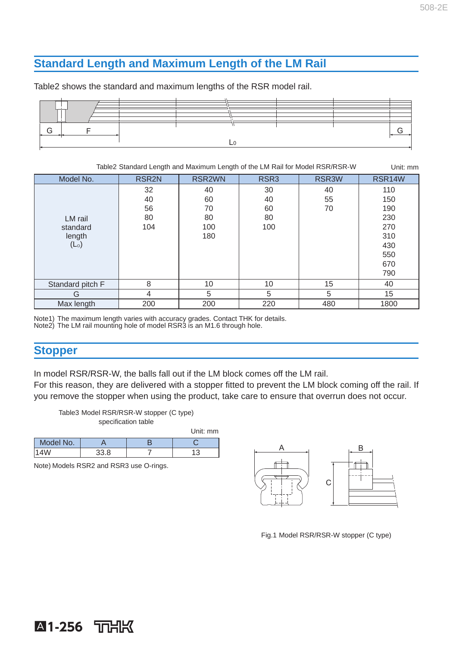# **Standard Length and Maximum Length of the LM Rail**

 [Table2](#page-8-0) shows the standard and maximum lengths of the RSR model rail.

<span id="page-8-0"></span>

| Table2 Standard Length and Maximum Length of the LM Rail for Model RSR/RSR-W<br>Unit: mm |                   |                     |                  |       |        |  |  |
|------------------------------------------------------------------------------------------|-------------------|---------------------|------------------|-------|--------|--|--|
| Model No.                                                                                | RSR <sub>2N</sub> | RSR <sub>2</sub> WN | RSR <sub>3</sub> | RSR3W | RSR14W |  |  |
|                                                                                          | 32                | 40                  | 30               | 40    | 110    |  |  |
|                                                                                          | 40                | 60                  | 40               | 55    | 150    |  |  |
|                                                                                          | 56                | 70                  | 60               | 70    | 190    |  |  |
| LM rail                                                                                  | 80                | 80                  | 80               |       | 230    |  |  |
| standard                                                                                 | 104               | 100                 | 100              |       | 270    |  |  |
| length                                                                                   |                   | 180                 |                  |       | 310    |  |  |
| (L <sub>o</sub> )                                                                        |                   |                     |                  |       | 430    |  |  |
|                                                                                          |                   |                     |                  |       | 550    |  |  |
|                                                                                          |                   |                     |                  |       | 670    |  |  |
|                                                                                          |                   |                     |                  |       | 790    |  |  |
| Standard pitch F                                                                         | 8                 | 10                  | 10               | 15    | 40     |  |  |
| G                                                                                        | 4                 | 5                   | 5                | 5     | 15     |  |  |
| Max length                                                                               | 200               | 200                 | 220              | 480   | 1800   |  |  |

Note1) The maximum length varies with accuracy grades. Contact THK for details.

Note2) The LM rail mounting hole of model RSR3 is an M1.6 through hole.

### **Stopper**

In model RSR/RSR-W, the balls fall out if the LM block comes off the LM rail.

For this reason, they are delivered with a stopper fitted to prevent the LM block coming off the rail. If you remove the stopper when using the product, take care to ensure that overrun does not occur.

Table3 Model RSR/RSR-W stopper (C type) specification table Unit: mm

|           |       | UIIII. IIIIII |
|-----------|-------|---------------|
| Model No. |       |               |
|           | ס כיכ |               |

Note) Models RSR2 and RSR3 use O-rings.



Fig.1 Model RSR/RSR-W stopper (C type)